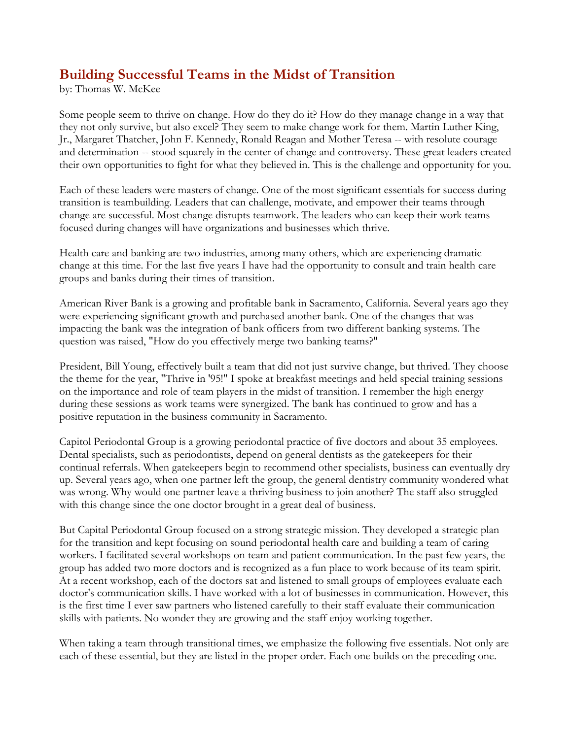# **Building Successful Teams in the Midst of Transition**

by: Thomas W. McKee

Some people seem to thrive on change. How do they do it? How do they manage change in a way that they not only survive, but also excel? They seem to make change work for them. Martin Luther King, Jr., Margaret Thatcher, John F. Kennedy, Ronald Reagan and Mother Teresa -- with resolute courage and determination -- stood squarely in the center of change and controversy. These great leaders created their own opportunities to fight for what they believed in. This is the challenge and opportunity for you.

Each of these leaders were masters of change. One of the most significant essentials for success during transition is teambuilding. Leaders that can challenge, motivate, and empower their teams through change are successful. Most change disrupts teamwork. The leaders who can keep their work teams focused during changes will have organizations and businesses which thrive.

Health care and banking are two industries, among many others, which are experiencing dramatic change at this time. For the last five years I have had the opportunity to consult and train health care groups and banks during their times of transition.

American River Bank is a growing and profitable bank in Sacramento, California. Several years ago they were experiencing significant growth and purchased another bank. One of the changes that was impacting the bank was the integration of bank officers from two different banking systems. The question was raised, "How do you effectively merge two banking teams?"

President, Bill Young, effectively built a team that did not just survive change, but thrived. They choose the theme for the year, "Thrive in '95!" I spoke at breakfast meetings and held special training sessions on the importance and role of team players in the midst of transition. I remember the high energy during these sessions as work teams were synergized. The bank has continued to grow and has a positive reputation in the business community in Sacramento.

Capitol Periodontal Group is a growing periodontal practice of five doctors and about 35 employees. Dental specialists, such as periodontists, depend on general dentists as the gatekeepers for their continual referrals. When gatekeepers begin to recommend other specialists, business can eventually dry up. Several years ago, when one partner left the group, the general dentistry community wondered what was wrong. Why would one partner leave a thriving business to join another? The staff also struggled with this change since the one doctor brought in a great deal of business.

But Capital Periodontal Group focused on a strong strategic mission. They developed a strategic plan for the transition and kept focusing on sound periodontal health care and building a team of caring workers. I facilitated several workshops on team and patient communication. In the past few years, the group has added two more doctors and is recognized as a fun place to work because of its team spirit. At a recent workshop, each of the doctors sat and listened to small groups of employees evaluate each doctor's communication skills. I have worked with a lot of businesses in communication. However, this is the first time I ever saw partners who listened carefully to their staff evaluate their communication skills with patients. No wonder they are growing and the staff enjoy working together.

When taking a team through transitional times, we emphasize the following five essentials. Not only are each of these essential, but they are listed in the proper order. Each one builds on the preceding one.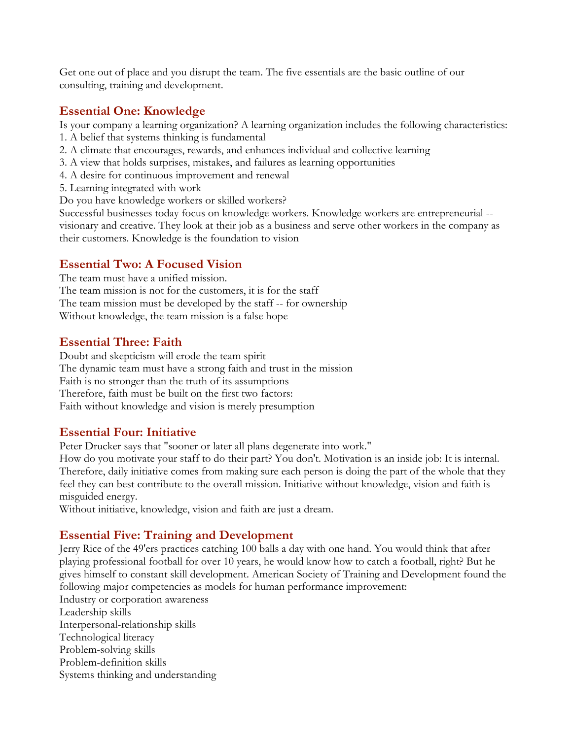Get one out of place and you disrupt the team. The five essentials are the basic outline of our consulting, training and development.

#### **Essential One: Knowledge**

Is your company a learning organization? A learning organization includes the following characteristics:

- 1. A belief that systems thinking is fundamental
- 2. A climate that encourages, rewards, and enhances individual and collective learning
- 3. A view that holds surprises, mistakes, and failures as learning opportunities
- 4. A desire for continuous improvement and renewal
- 5. Learning integrated with work

Do you have knowledge workers or skilled workers?

Successful businesses today focus on knowledge workers. Knowledge workers are entrepreneurial - visionary and creative. They look at their job as a business and serve other workers in the company as their customers. Knowledge is the foundation to vision

### **Essential Two: A Focused Vision**

The team must have a unified mission.

The team mission is not for the customers, it is for the staff The team mission must be developed by the staff -- for ownership Without knowledge, the team mission is a false hope

### **Essential Three: Faith**

Doubt and skepticism will erode the team spirit The dynamic team must have a strong faith and trust in the mission Faith is no stronger than the truth of its assumptions Therefore, faith must be built on the first two factors: Faith without knowledge and vision is merely presumption

## **Essential Four: Initiative**

Peter Drucker says that "sooner or later all plans degenerate into work."

How do you motivate your staff to do their part? You don't. Motivation is an inside job: It is internal. Therefore, daily initiative comes from making sure each person is doing the part of the whole that they feel they can best contribute to the overall mission. Initiative without knowledge, vision and faith is misguided energy.

Without initiative, knowledge, vision and faith are just a dream.

## **Essential Five: Training and Development**

Jerry Rice of the 49'ers practices catching 100 balls a day with one hand. You would think that after playing professional football for over 10 years, he would know how to catch a football, right? But he gives himself to constant skill development. American Society of Training and Development found the following major competencies as models for human performance improvement:

Industry or corporation awareness Leadership skills Interpersonal-relationship skills Technological literacy Problem-solving skills Problem-definition skills Systems thinking and understanding